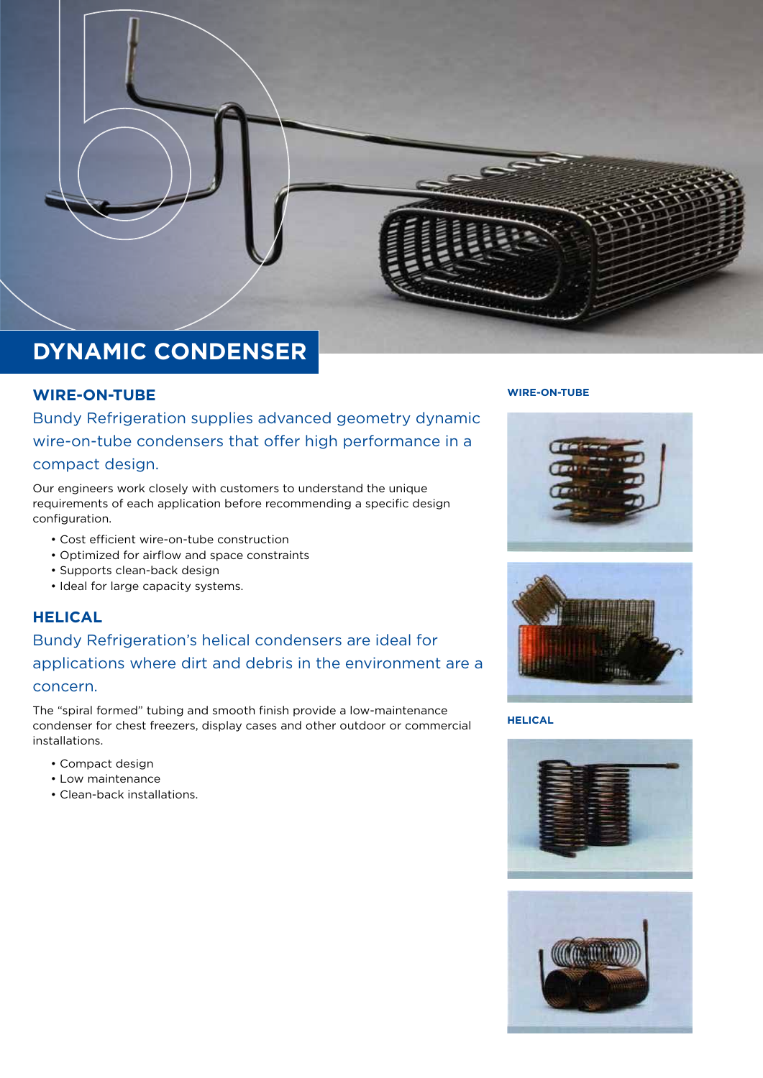

# **DYNAMIC CONDENSER**

## **WIRE-ON-TUBE**

Bundy Refrigeration supplies advanced geometry dynamic wire-on-tube condensers that offer high performance in a compact design.

Our engineers work closely with customers to understand the unique requirements of each application before recommending a specific design configuration.

- Cost efficient wire-on-tube construction
- Optimized for airflow and space constraints
- Supports clean-back design
- Ideal for large capacity systems.

# **HELICAL**

# Bundy Refrigeration's helical condensers are ideal for applications where dirt and debris in the environment are a concern.

The "spiral formed" tubing and smooth finish provide a low-maintenance condenser for chest freezers, display cases and other outdoor or commercial installations.

- Compact design
- Low maintenance
- Clean-back installations.

#### **WIRE-ON-TUBE**





**HELICAL**